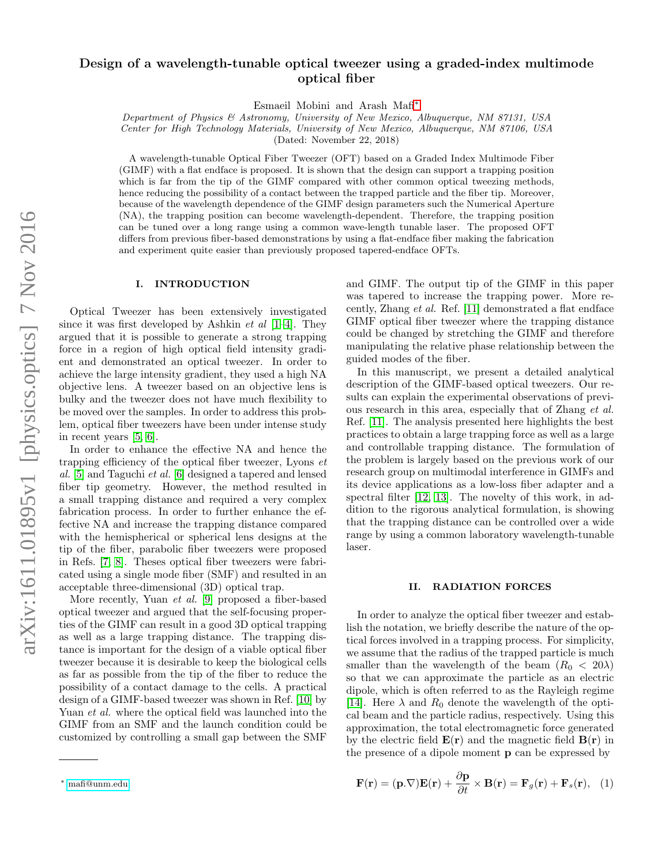# Design of a wavelength-tunable optical tweezer using a graded-index multimode optical fiber

Esmaeil Mobini and Arash Mafi[∗](#page-0-0)

Department of Physics & Astronomy, University of New Mexico, Albuquerque, NM 87131, USA Center for High Technology Materials, University of New Mexico, Albuquerque, NM 87106, USA

(Dated: November 22, 2018)

A wavelength-tunable Optical Fiber Tweezer (OFT) based on a Graded Index Multimode Fiber (GIMF) with a flat endface is proposed. It is shown that the design can support a trapping position which is far from the tip of the GIMF compared with other common optical tweezing methods, hence reducing the possibility of a contact between the trapped particle and the fiber tip. Moreover, because of the wavelength dependence of the GIMF design parameters such the Numerical Aperture (NA), the trapping position can become wavelength-dependent. Therefore, the trapping position can be tuned over a long range using a common wave-length tunable laser. The proposed OFT differs from previous fiber-based demonstrations by using a flat-endface fiber making the fabrication and experiment quite easier than previously proposed tapered-endface OFTs.

### I. INTRODUCTION

Optical Tweezer has been extensively investigated since it was first developed by Ashkin  $et \ al \ [1-4]$  $et \ al \ [1-4]$ . They argued that it is possible to generate a strong trapping force in a region of high optical field intensity gradient and demonstrated an optical tweezer. In order to achieve the large intensity gradient, they used a high NA objective lens. A tweezer based on an objective lens is bulky and the tweezer does not have much flexibility to be moved over the samples. In order to address this problem, optical fiber tweezers have been under intense study in recent years [\[5,](#page-7-2) [6\]](#page-7-3).

In order to enhance the effective NA and hence the trapping efficiency of the optical fiber tweezer, Lyons  $et$ al. [\[5\]](#page-7-2) and Taguchi et al. [\[6\]](#page-7-3) designed a tapered and lensed fiber tip geometry. However, the method resulted in a small trapping distance and required a very complex fabrication process. In order to further enhance the effective NA and increase the trapping distance compared with the hemispherical or spherical lens designs at the tip of the fiber, parabolic fiber tweezers were proposed in Refs. [\[7,](#page-7-4) [8\]](#page-7-5). Theses optical fiber tweezers were fabricated using a single mode fiber (SMF) and resulted in an acceptable three-dimensional (3D) optical trap.

More recently, Yuan et al. [\[9\]](#page-7-6) proposed a fiber-based optical tweezer and argued that the self-focusing properties of the GIMF can result in a good 3D optical trapping as well as a large trapping distance. The trapping distance is important for the design of a viable optical fiber tweezer because it is desirable to keep the biological cells as far as possible from the tip of the fiber to reduce the possibility of a contact damage to the cells. A practical design of a GIMF-based tweezer was shown in Ref. [\[10\]](#page-7-7) by Yuan *et al.* where the optical field was launched into the GIMF from an SMF and the launch condition could be customized by controlling a small gap between the SMF

and GIMF. The output tip of the GIMF in this paper was tapered to increase the trapping power. More recently, Zhang et al. Ref. [\[11\]](#page-7-8) demonstrated a flat endface GIMF optical fiber tweezer where the trapping distance could be changed by stretching the GIMF and therefore manipulating the relative phase relationship between the guided modes of the fiber.

In this manuscript, we present a detailed analytical description of the GIMF-based optical tweezers. Our results can explain the experimental observations of previous research in this area, especially that of Zhang et al. Ref. [\[11\]](#page-7-8). The analysis presented here highlights the best practices to obtain a large trapping force as well as a large and controllable trapping distance. The formulation of the problem is largely based on the previous work of our research group on multimodal interference in GIMFs and its device applications as a low-loss fiber adapter and a spectral filter [\[12,](#page-7-9) [13\]](#page-7-10). The novelty of this work, in addition to the rigorous analytical formulation, is showing that the trapping distance can be controlled over a wide range by using a common laboratory wavelength-tunable laser.

# II. RADIATION FORCES

In order to analyze the optical fiber tweezer and establish the notation, we briefly describe the nature of the optical forces involved in a trapping process. For simplicity, we assume that the radius of the trapped particle is much smaller than the wavelength of the beam  $(R_0 < 20\lambda)$ so that we can approximate the particle as an electric dipole, which is often referred to as the Rayleigh regime [\[14\]](#page-7-11). Here  $\lambda$  and  $R_0$  denote the wavelength of the optical beam and the particle radius, respectively. Using this approximation, the total electromagnetic force generated by the electric field  $E(\mathbf{r})$  and the magnetic field  $B(\mathbf{r})$  in the presence of a dipole moment p can be expressed by

$$
\mathbf{F}(\mathbf{r}) = (\mathbf{p}.\nabla)\mathbf{E}(\mathbf{r}) + \frac{\partial \mathbf{p}}{\partial t} \times \mathbf{B}(\mathbf{r}) = \mathbf{F}_g(\mathbf{r}) + \mathbf{F}_s(\mathbf{r}), \quad (1)
$$

<span id="page-0-0"></span><sup>∗</sup> [mafi@unm.edu](mailto:mafi@unm.edu)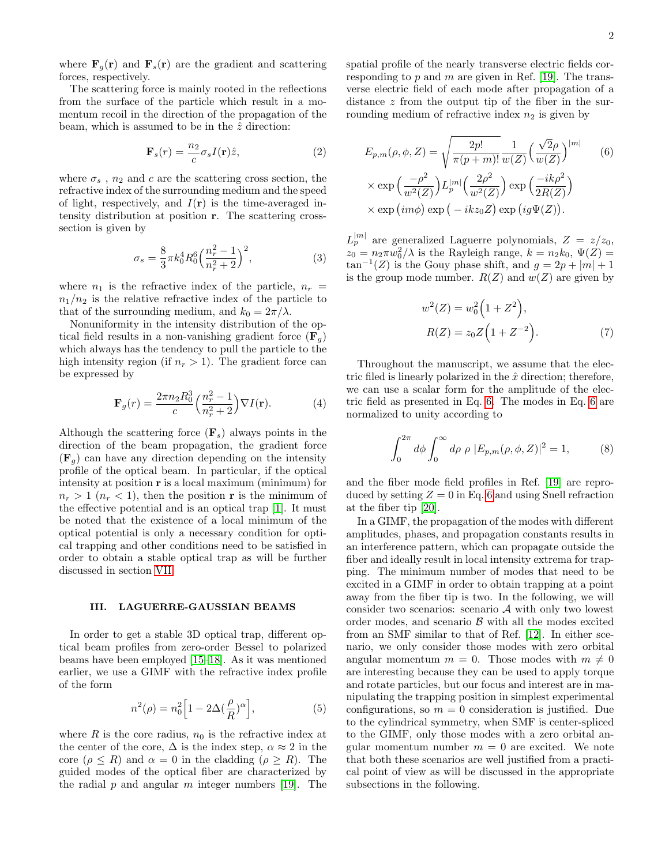where  $\mathbf{F}_q(\mathbf{r})$  and  $\mathbf{F}_s(\mathbf{r})$  are the gradient and scattering forces, respectively.

The scattering force is mainly rooted in the reflections from the surface of the particle which result in a momentum recoil in the direction of the propagation of the beam, which is assumed to be in the  $\hat{z}$  direction:

<span id="page-1-2"></span>
$$
\mathbf{F}_s(r) = \frac{n_2}{c} \sigma_s I(\mathbf{r}) \hat{z},\tag{2}
$$

where  $\sigma_s$ ,  $n_2$  and c are the scattering cross section, the refractive index of the surrounding medium and the speed of light, respectively, and  $I(r)$  is the time-averaged intensity distribution at position r. The scattering crosssection is given by

<span id="page-1-3"></span>
$$
\sigma_s = \frac{8}{3} \pi k_0^4 R_0^6 \left(\frac{n_r^2 - 1}{n_r^2 + 2}\right)^2, \tag{3}
$$

where  $n_1$  is the refractive index of the particle,  $n_r =$  $n_1/n_2$  is the relative refractive index of the particle to that of the surrounding medium, and  $k_0 = 2\pi/\lambda$ .

Nonuniformity in the intensity distribution of the optical field results in a non-vanishing gradient force  $(\mathbf{F}_q)$ which always has the tendency to pull the particle to the high intensity region (if  $n_r > 1$ ). The gradient force can be expressed by

<span id="page-1-1"></span>
$$
\mathbf{F}_g(r) = \frac{2\pi n_2 R_0^3}{c} \left(\frac{n_r^2 - 1}{n_r^2 + 2}\right) \nabla I(\mathbf{r}).\tag{4}
$$

Although the scattering force  $(\mathbf{F}_s)$  always points in the direction of the beam propagation, the gradient force  $(\mathbf{F}_q)$  can have any direction depending on the intensity profile of the optical beam. In particular, if the optical intensity at position r is a local maximum (minimum) for  $n_r > 1$   $(n_r < 1)$ , then the position **r** is the minimum of the effective potential and is an optical trap [\[1\]](#page-7-0). It must be noted that the existence of a local minimum of the optical potential is only a necessary condition for optical trapping and other conditions need to be satisfied in order to obtain a stable optical trap as will be further discussed in section [VII.](#page-6-0)

#### III. LAGUERRE-GAUSSIAN BEAMS

In order to get a stable 3D optical trap, different optical beam profiles from zero-order Bessel to polarized beams have been employed [\[15](#page-7-12)[–18\]](#page-7-13). As it was mentioned earlier, we use a GIMF with the refractive index profile of the form

$$
n^2(\rho) = n_0^2 \left[ 1 - 2\Delta \left( \frac{\rho}{R} \right)^{\alpha} \right],\tag{5}
$$

where R is the core radius,  $n_0$  is the refractive index at the center of the core,  $\Delta$  is the index step,  $\alpha \approx 2$  in the core ( $\rho \leq R$ ) and  $\alpha = 0$  in the cladding ( $\rho \geq R$ ). The guided modes of the optical fiber are characterized by the radial p and angular m integer numbers [\[19\]](#page-7-14). The

spatial profile of the nearly transverse electric fields corresponding to  $p$  and  $m$  are given in Ref. [\[19\]](#page-7-14). The transverse electric field of each mode after propagation of a distance z from the output tip of the fiber in the surrounding medium of refractive index  $n_2$  is given by

<span id="page-1-0"></span>
$$
E_{p,m}(\rho,\phi,Z) = \sqrt{\frac{2p!}{\pi(p+m)!}} \frac{1}{w(Z)} \left(\frac{\sqrt{2}\rho}{w(Z)}\right)^{|m|} \qquad (6)
$$

$$
\times \exp\left(\frac{-\rho^2}{w^2(Z)}\right) L_p^{|m|} \left(\frac{2\rho^2}{w^2(Z)}\right) \exp\left(\frac{-ik\rho^2}{2R(Z)}\right)
$$

$$
\times \exp\left(im\phi\right) \exp\left(-ikz_0 Z\right) \exp\left(i g \Psi(Z)\right).
$$

 $L_p^{|m|}$  are generalized Laguerre polynomials,  $Z = z/z_0$ ,  $z_0 = n_2 \pi w_0^2 / \lambda$  is the Rayleigh range,  $k = n_2 k_0, \Psi(Z) =$  $\tan^{-1}(Z)$  is the Gouy phase shift, and  $g = 2p + |m| + 1$ is the group mode number.  $R(Z)$  and  $w(Z)$  are given by

$$
w^{2}(Z) = w_{0}^{2}(1+Z^{2}),
$$
  
\n
$$
R(Z) = z_{0}Z(1+Z^{-2}).
$$
\n(7)

Throughout the manuscript, we assume that the electric filed is linearly polarized in the  $\hat{x}$  direction; therefore, we can use a scalar form for the amplitude of the electric field as presented in Eq. [6.](#page-1-0) The modes in Eq. [6](#page-1-0) are normalized to unity according to

$$
\int_0^{2\pi} d\phi \int_0^{\infty} d\rho \, \rho \, |E_{p,m}(\rho,\phi,Z)|^2 = 1,\tag{8}
$$

and the fiber mode field profiles in Ref. [\[19\]](#page-7-14) are reproduced by setting  $Z = 0$  in Eq. [6](#page-1-0) and using Snell refraction at the fiber tip [\[20\]](#page-7-15).

In a GIMF, the propagation of the modes with different amplitudes, phases, and propagation constants results in an interference pattern, which can propagate outside the fiber and ideally result in local intensity extrema for trapping. The minimum number of modes that need to be excited in a GIMF in order to obtain trapping at a point away from the fiber tip is two. In the following, we will consider two scenarios: scenario  $A$  with only two lowest order modes, and scenario  $\beta$  with all the modes excited from an SMF similar to that of Ref. [\[12\]](#page-7-9). In either scenario, we only consider those modes with zero orbital angular momentum  $m = 0$ . Those modes with  $m \neq 0$ are interesting because they can be used to apply torque and rotate particles, but our focus and interest are in manipulating the trapping position in simplest experimental configurations, so  $m = 0$  consideration is justified. Due to the cylindrical symmetry, when SMF is center-spliced to the GIMF, only those modes with a zero orbital angular momentum number  $m = 0$  are excited. We note that both these scenarios are well justified from a practical point of view as will be discussed in the appropriate subsections in the following.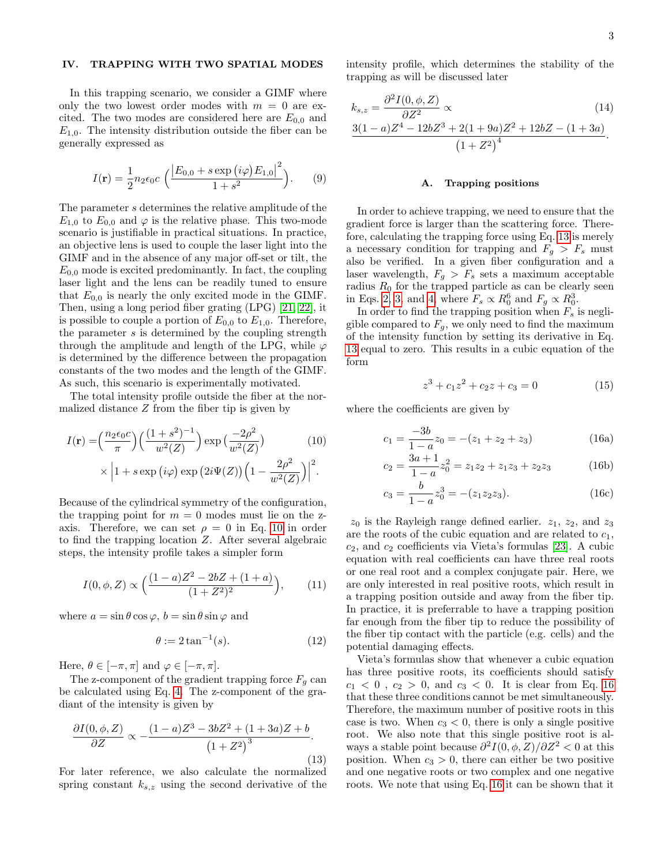# IV. TRAPPING WITH TWO SPATIAL MODES

In this trapping scenario, we consider a GIMF where only the two lowest order modes with  $m = 0$  are excited. The two modes are considered here are  $E_{0,0}$  and  $E_{1,0}$ . The intensity distribution outside the fiber can be generally expressed as

<span id="page-2-3"></span>
$$
I(\mathbf{r}) = \frac{1}{2} n_2 \epsilon_0 c \left( \frac{|E_{0,0} + s \exp(i\varphi) E_{1,0}|^2}{1 + s^2} \right). \tag{9}
$$

The parameter s determines the relative amplitude of the  $E_{1,0}$  to  $E_{0,0}$  and  $\varphi$  is the relative phase. This two-mode scenario is justifiable in practical situations. In practice, an objective lens is used to couple the laser light into the GIMF and in the absence of any major off-set or tilt, the  $E_{0,0}$  mode is excited predominantly. In fact, the coupling laser light and the lens can be readily tuned to ensure that  $E_{0,0}$  is nearly the only excited mode in the GIMF. Then, using a long period fiber grating (LPG) [\[21,](#page-7-16) [22\]](#page-7-17), it is possible to couple a portion of  $E_{0,0}$  to  $E_{1,0}$ . Therefore, the parameter  $s$  is determined by the coupling strength through the amplitude and length of the LPG, while  $\varphi$ is determined by the difference between the propagation constants of the two modes and the length of the GIMF. As such, this scenario is experimentally motivated.

The total intensity profile outside the fiber at the normalized distance  $Z$  from the fiber tip is given by

$$
I(\mathbf{r}) = \left(\frac{n_2 \epsilon_0 c}{\pi}\right) \left(\frac{(1+s^2)^{-1}}{w^2(Z)}\right) \exp\left(\frac{-2\rho^2}{w^2(Z)}\right) \qquad (10)
$$

$$
\times \left|1+s \exp\left(i\varphi\right) \exp\left(2i\Psi(Z)\right) \left(1-\frac{2\rho^2}{w^2(Z)}\right)\right|^2.
$$

Because of the cylindrical symmetry of the configuration, the trapping point for  $m = 0$  modes must lie on the zaxis. Therefore, we can set  $\rho = 0$  in Eq. [10](#page-2-0) in order to find the trapping location Z. After several algebraic steps, the intensity profile takes a simpler form

<span id="page-2-6"></span>
$$
I(0, \phi, Z) \propto \left(\frac{(1-a)Z^2 - 2bZ + (1+a)}{(1+Z^2)^2}\right),\tag{11}
$$

where  $a = \sin \theta \cos \varphi$ ,  $b = \sin \theta \sin \varphi$  and

<span id="page-2-4"></span>
$$
\theta := 2 \tan^{-1}(s). \tag{12}
$$

Here,  $\theta \in [-\pi, \pi]$  and  $\varphi \in [-\pi, \pi]$ .

The z-component of the gradient trapping force  $F_q$  can be calculated using Eq. [4.](#page-1-1) The z-component of the gradiant of the intensity is given by

<span id="page-2-1"></span>
$$
\frac{\partial I(0,\phi,Z)}{\partial Z} \propto -\frac{(1-a)Z^3 - 3bZ^2 + (1+3a)Z + b}{(1+Z^2)^3}.
$$
\n(13)

For later reference, we also calculate the normalized spring constant  $k_{s,z}$  using the second derivative of the intensity profile, which determines the stability of the trapping as will be discussed later

$$
k_{s,z} = \frac{\partial^2 I(0, \phi, Z)}{\partial Z^2} \propto (14)
$$
  
 
$$
\frac{3(1-a)Z^4 - 12bZ^3 + 2(1+9a)Z^2 + 12bZ - (1+3a)}{(1+Z^2)^4}.
$$

#### <span id="page-2-7"></span><span id="page-2-5"></span>A. Trapping positions

In order to achieve trapping, we need to ensure that the gradient force is larger than the scattering force. Therefore, calculating the trapping force using Eq. [13](#page-2-1) is merely a necessary condition for trapping and  $F_g > F_s$  must also be verified. In a given fiber configuration and a laser wavelength,  $F_g > F_s$  sets a maximum acceptable radius  $R_0$  for the trapped particle as can be clearly seen in Eqs. [2,](#page-1-2) [3,](#page-1-3) and [4,](#page-1-1) where  $F_s \propto R_0^6$  and  $F_g \propto R_0^3$ .

In order to find the trapping position when  $F_s$  is negligible compared to  $F_g$ , we only need to find the maximum of the intensity function by setting its derivative in Eq. [13](#page-2-1) equal to zero. This results in a cubic equation of the form

<span id="page-2-2"></span>
$$
z^3 + c_1 z^2 + c_2 z + c_3 = 0 \tag{15}
$$

<span id="page-2-0"></span>where the coefficients are given by

$$
c_1 = \frac{-3b}{1-a}z_0 = -(z_1 + z_2 + z_3)
$$
 (16a)

$$
c_2 = \frac{3a+1}{1-a}z_0^2 = z_1z_2 + z_1z_3 + z_2z_3 \tag{16b}
$$

$$
c_3 = \frac{b}{1 - a} z_0^3 = -(z_1 z_2 z_3). \tag{16c}
$$

 $z_0$  is the Rayleigh range defined earlier.  $z_1$ ,  $z_2$ , and  $z_3$ are the roots of the cubic equation and are related to  $c_1$ ,  $c_2$ , and  $c_2$  coefficients via Vieta's formulas [\[23\]](#page-7-18). A cubic equation with real coefficients can have three real roots or one real root and a complex conjugate pair. Here, we are only interested in real positive roots, which result in a trapping position outside and away from the fiber tip. In practice, it is preferrable to have a trapping position far enough from the fiber tip to reduce the possibility of the fiber tip contact with the particle (e.g. cells) and the potential damaging effects.

Vieta's formulas show that whenever a cubic equation has three positive roots, its coefficients should satisfy  $c_1 < 0$ ,  $c_2 > 0$ , and  $c_3 < 0$ . It is clear from Eq. [16](#page-2-2) that these three conditions cannot be met simultaneously. Therefore, the maximum number of positive roots in this case is two. When  $c_3 < 0$ , there is only a single positive root. We also note that this single positive root is always a stable point because  $\partial^2 I(0, \phi, Z)/\partial Z^2 < 0$  at this position. When  $c_3 > 0$ , there can either be two positive and one negative roots or two complex and one negative roots. We note that using Eq. [16](#page-2-2) it can be shown that it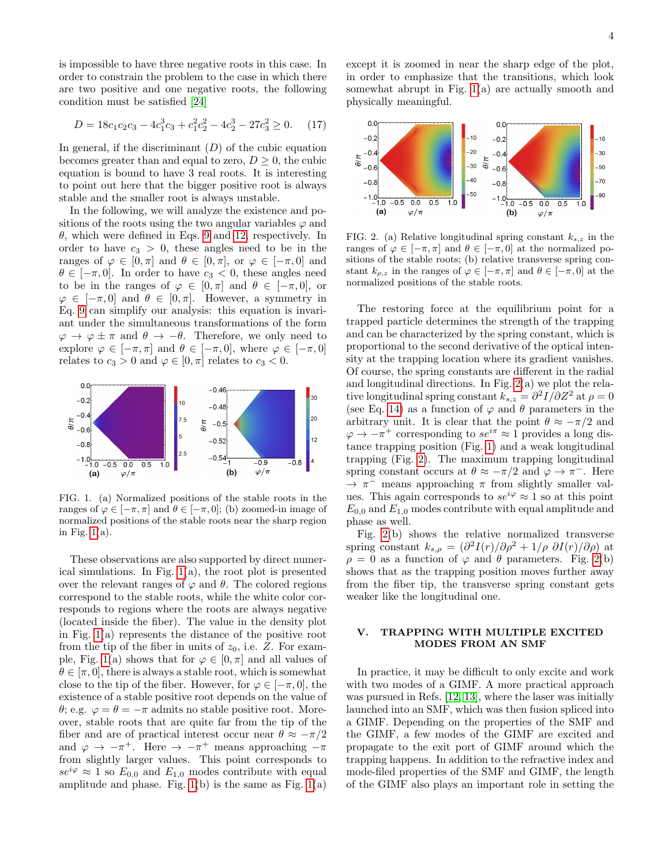is impossible to have three negative roots in this case. In order to constrain the problem to the case in which there are two positive and one negative roots, the following condition must be satisfied [\[24\]](#page-7-19)

$$
D = 18c_1c_2c_3 - 4c_1^3c_3 + c_1^2c_2^2 - 4c_2^3 - 27c_3^2 \ge 0. \tag{17}
$$

In general, if the discriminant  $(D)$  of the cubic equation becomes greater than and equal to zero,  $D \geq 0$ , the cubic equation is bound to have 3 real roots. It is interesting to point out here that the bigger positive root is always stable and the smaller root is always unstable.

In the following, we will analyze the existence and positions of the roots using the two angular variables  $\varphi$  and  $\theta$ , which were defined in Eqs. [9](#page-2-3) and [12,](#page-2-4) respectively. In order to have  $c_3 > 0$ , these angles need to be in the ranges of  $\varphi \in [0, \pi]$  and  $\theta \in [0, \pi]$ , or  $\varphi \in [-\pi, 0]$  and  $\theta \in [-\pi, 0]$ . In order to have  $c_3 < 0$ , these angles need to be in the ranges of  $\varphi \in [0, \pi]$  and  $\theta \in [-\pi, 0]$ , or  $\varphi \in [-\pi, 0]$  and  $\theta \in [0, \pi]$ . However, a symmetry in Eq. [9](#page-2-3) can simplify our analysis: this equation is invariant under the simultaneous transformations of the form  $\varphi \to \varphi \pm \pi$  and  $\theta \to -\theta$ . Therefore, we only need to explore  $\varphi \in [-\pi, \pi]$  and  $\theta \in [-\pi, 0]$ , where  $\varphi \in [-\pi, 0]$ relates to  $c_3 > 0$  and  $\varphi \in [0, \pi]$  relates to  $c_3 < 0$ .



<span id="page-3-0"></span>FIG. 1. (a) Normalized positions of the stable roots in the ranges of  $\varphi \in [-\pi, \pi]$  and  $\theta \in [-\pi, 0]$ ; (b) zoomed-in image of normalized positions of the stable roots near the sharp region in Fig.  $1(a)$ .

These observations are also supported by direct numerical simulations. In Fig.  $1(a)$ , the root plot is presented over the relevant ranges of  $\varphi$  and  $\theta$ . The colored regions correspond to the stable roots, while the white color corresponds to regions where the roots are always negative (located inside the fiber). The value in the density plot in Fig. [1\(](#page-3-0)a) represents the distance of the positive root from the tip of the fiber in units of  $z_0$ , i.e. Z. For exam-ple, Fig. [1\(](#page-3-0)a) shows that for  $\varphi \in [0, \pi]$  and all values of  $\theta \in [\pi, 0]$ , there is always a stable root, which is somewhat close to the tip of the fiber. However, for  $\varphi \in [-\pi, 0]$ , the existence of a stable positive root depends on the value of θ; e.g.  $\varphi = θ = −π$  admits no stable positive root. Moreover, stable roots that are quite far from the tip of the fiber and are of practical interest occur near  $\theta \approx -\pi/2$ and  $\varphi \to -\pi^+$ . Here  $\to -\pi^+$  means approaching  $-\pi$ from slightly larger values. This point corresponds to  $se^{i\varphi} \approx 1$  so  $E_{0,0}$  and  $E_{1,0}$  modes contribute with equal amplitude and phase. Fig.  $1(b)$  is the same as Fig.  $1(a)$ 

except it is zoomed in near the sharp edge of the plot, in order to emphasize that the transitions, which look somewhat abrupt in Fig. [1\(](#page-3-0)a) are actually smooth and physically meaningful.



<span id="page-3-1"></span>FIG. 2. (a) Relative longitudinal spring constant  $k_{s,z}$  in the ranges of  $\varphi \in [-\pi, \pi]$  and  $\theta \in [-\pi, 0]$  at the normalized positions of the stable roots; (b) relative transverse spring constant  $k_{\rho,z}$  in the ranges of  $\varphi \in [-\pi,\pi]$  and  $\theta \in [-\pi,0]$  at the normalized positions of the stable roots.

The restoring force at the equilibrium point for a trapped particle determines the strength of the trapping and can be characterized by the spring constant, which is proportional to the second derivative of the optical intensity at the trapping location where its gradient vanishes. Of course, the spring constants are different in the radial and longitudinal directions. In Fig. [2\(](#page-3-1)a) we plot the relative longitudinal spring constant  $k_{s,z} = \frac{\partial^2 I}{\partial Z^2}$  at  $\rho = 0$ (see Eq. [14\)](#page-2-5) as a function of  $\varphi$  and  $\theta$  parameters in the arbitrary unit. It is clear that the point  $\theta \approx -\pi/2$  and  $\varphi \to -\pi^+$  corresponding to  $se^{i\pi} \approx 1$  provides a long distance trapping position (Fig. [1\)](#page-3-0) and a weak longitudinal trapping (Fig. [2\)](#page-3-1). The maximum trapping longitudinal spring constant occurs at  $\theta \approx -\pi/2$  and  $\varphi \rightarrow \pi^{-}$ . Here  $\rightarrow \pi^-$  means approaching  $\pi$  from slightly smaller values. This again corresponds to  $se^{i\varphi} \approx 1$  so at this point  $E_{0,0}$  and  $E_{1,0}$  modes contribute with equal amplitude and phase as well.

Fig. [2\(](#page-3-1)b) shows the relative normalized transverse spring constant  $k_{s,\rho} = (\partial^2 I(r)/\partial \rho^2 + 1/\rho \partial I(r)/\partial \rho)$  at  $\rho = 0$  as a function of  $\varphi$  and  $\theta$  parameters. Fig. [2\(](#page-3-1)b) shows that as the trapping position moves further away from the fiber tip, the transverse spring constant gets weaker like the longitudinal one.

## V. TRAPPING WITH MULTIPLE EXCITED MODES FROM AN SMF

In practice, it may be difficult to only excite and work with two modes of a GIMF. A more practical approach was pursued in Refs. [\[12,](#page-7-9) [13\]](#page-7-10), where the laser was initially launched into an SMF, which was then fusion spliced into a GIMF. Depending on the properties of the SMF and the GIMF, a few modes of the GIMF are excited and propagate to the exit port of GIMF around which the trapping happens. In addition to the refractive index and mode-filed properties of the SMF and GIMF, the length of the GIMF also plays an important role in setting the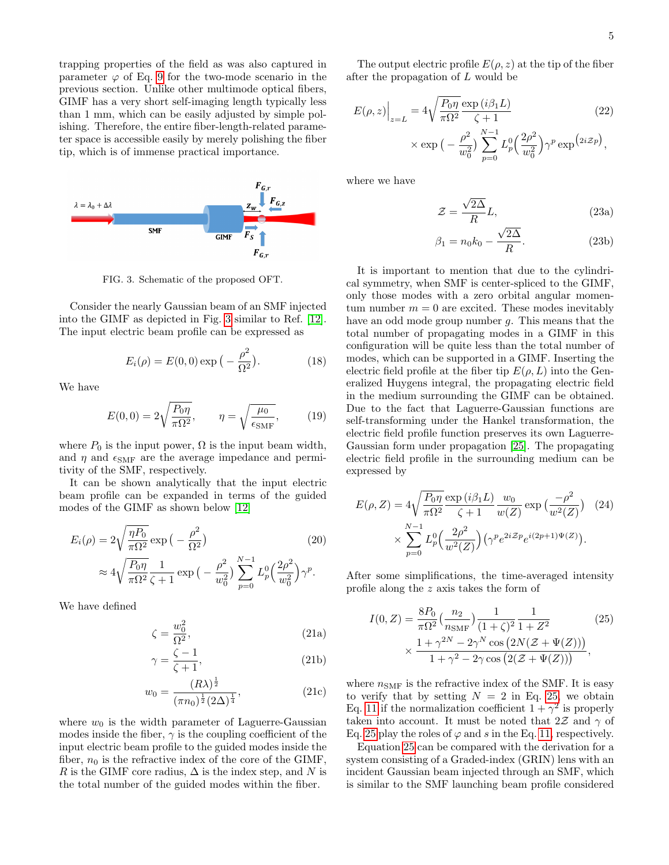trapping properties of the field as was also captured in parameter  $\varphi$  of Eq. [9](#page-2-3) for the two-mode scenario in the previous section. Unlike other multimode optical fibers, GIMF has a very short self-imaging length typically less than 1 mm, which can be easily adjusted by simple polishing. Therefore, the entire fiber-length-related parameter space is accessible easily by merely polishing the fiber tip, which is of immense practical importance.



<span id="page-4-0"></span>FIG. 3. Schematic of the proposed OFT.

Consider the nearly Gaussian beam of an SMF injected into the GIMF as depicted in Fig. [3](#page-4-0) similar to Ref. [\[12\]](#page-7-9). The input electric beam profile can be expressed as

$$
E_i(\rho) = E(0,0) \exp(-\frac{\rho^2}{\Omega^2}).
$$
 (18)

We have

$$
E(0,0) = 2\sqrt{\frac{P_0\eta}{\pi\Omega^2}}, \qquad \eta = \sqrt{\frac{\mu_0}{\epsilon_{\text{SMF}}}}, \qquad (19)
$$

where  $P_0$  is the input power,  $\Omega$  is the input beam width, and  $\eta$  and  $\epsilon_{\text{SMF}}$  are the average impedance and permitivity of the SMF, respectively.

It can be shown analytically that the input electric beam profile can be expanded in terms of the guided modes of the GIMF as shown below [\[12\]](#page-7-9)

$$
E_i(\rho) = 2\sqrt{\frac{\eta P_0}{\pi \Omega^2}} \exp\left(-\frac{\rho^2}{\Omega^2}\right)
$$
\n
$$
\approx 4\sqrt{\frac{P_0 \eta}{\pi \Omega^2}} \frac{1}{\zeta + 1} \exp\left(-\frac{\rho^2}{w_0^2}\right) \sum_{p=0}^{N-1} L_p^0 \left(\frac{2\rho^2}{w_0^2}\right) \gamma^p.
$$
\n(20)

We have defined

$$
\zeta = \frac{w_0^2}{\Omega^2},\tag{21a}
$$

$$
\gamma = \frac{\zeta - 1}{\zeta + 1},\tag{21b}
$$

$$
w_0 = \frac{(R\lambda)^{\frac{1}{2}}}{(\pi n_0)^{\frac{1}{2}} (2\Delta)^{\frac{1}{4}}},
$$
\n(21c)

where  $w_0$  is the width parameter of Laguerre-Gaussian modes inside the fiber,  $\gamma$  is the coupling coefficient of the input electric beam profile to the guided modes inside the fiber,  $n_0$  is the refractive index of the core of the GIMF, R is the GIMF core radius,  $\Delta$  is the index step, and N is the total number of the guided modes within the fiber.

The output electric profile  $E(\rho, z)$  at the tip of the fiber after the propagation of L would be

$$
E(\rho, z)\Big|_{z=L} = 4\sqrt{\frac{P_0 \eta}{\pi \Omega^2}} \frac{\exp(i\beta_1 L)}{\zeta + 1}
$$
\n
$$
\times \exp\left(-\frac{\rho^2}{w_0^2}\right) \sum_{p=0}^{N-1} L_p^0\left(\frac{2\rho^2}{w_0^2}\right) \gamma^p \exp\left(2i z_p\right),\tag{22}
$$

where we have

<span id="page-4-3"></span>
$$
\mathcal{Z} = \frac{\sqrt{2\Delta}}{R}L,\tag{23a}
$$

$$
\beta_1 = n_0 k_0 - \frac{\sqrt{2\Delta}}{R}.\tag{23b}
$$

It is important to mention that due to the cylindrical symmetry, when SMF is center-spliced to the GIMF, only those modes with a zero orbital angular momentum number  $m = 0$  are excited. These modes inevitably have an odd mode group number g. This means that the total number of propagating modes in a GIMF in this configuration will be quite less than the total number of modes, which can be supported in a GIMF. Inserting the electric field profile at the fiber tip  $E(\rho, L)$  into the Generalized Huygens integral, the propagating electric field in the medium surrounding the GIMF can be obtained. Due to the fact that Laguerre-Gaussian functions are self-transforming under the Hankel transformation, the electric field profile function preserves its own Laguerre-Gaussian form under propagation [\[25\]](#page-8-0). The propagating electric field profile in the surrounding medium can be expressed by

<span id="page-4-4"></span>
$$
E(\rho, Z) = 4\sqrt{\frac{P_0 \eta}{\pi \Omega^2}} \frac{\exp(i\beta_1 L)}{\zeta + 1} \frac{w_0}{w(Z)} \exp\left(\frac{-\rho^2}{w^2(Z)}\right) (24)
$$

$$
\times \sum_{p=0}^{N-1} L_p^0\left(\frac{2\rho^2}{w^2(Z)}\right) \left(\gamma^p e^{2iZp} e^{i(2p+1)\Psi(Z)}\right).
$$

After some simplifications, the time-averaged intensity profile along the z axis takes the form of

<span id="page-4-1"></span>
$$
I(0, Z) = \frac{8P_0}{\pi \Omega^2} \left(\frac{n_2}{n_{\text{SMF}}}\right) \frac{1}{(1+\zeta)^2} \frac{1}{1+Z^2}
$$
(25)  
 
$$
\times \frac{1+\gamma^{2N}-2\gamma^N \cos\left(2N(Z+\Psi(Z))\right)}{1+\gamma^2-2\gamma \cos\left(2(Z+\Psi(Z))\right)},
$$

<span id="page-4-2"></span>where  $n_{\text{SMF}}$  is the refractive index of the SMF. It is easy to verify that by setting  $N = 2$  in Eq. [25,](#page-4-1) we obtain Eq. [11](#page-2-6) if the normalization coefficient  $1 + \gamma^2$  is properly taken into account. It must be noted that  $2\mathcal{Z}$  and  $\gamma$  of Eq. [25](#page-4-1) play the roles of  $\varphi$  and s in the Eq. [11,](#page-2-6) respectively.

Equation [25](#page-4-1) can be compared with the derivation for a system consisting of a Graded-index (GRIN) lens with an incident Gaussian beam injected through an SMF, which is similar to the SMF launching beam profile considered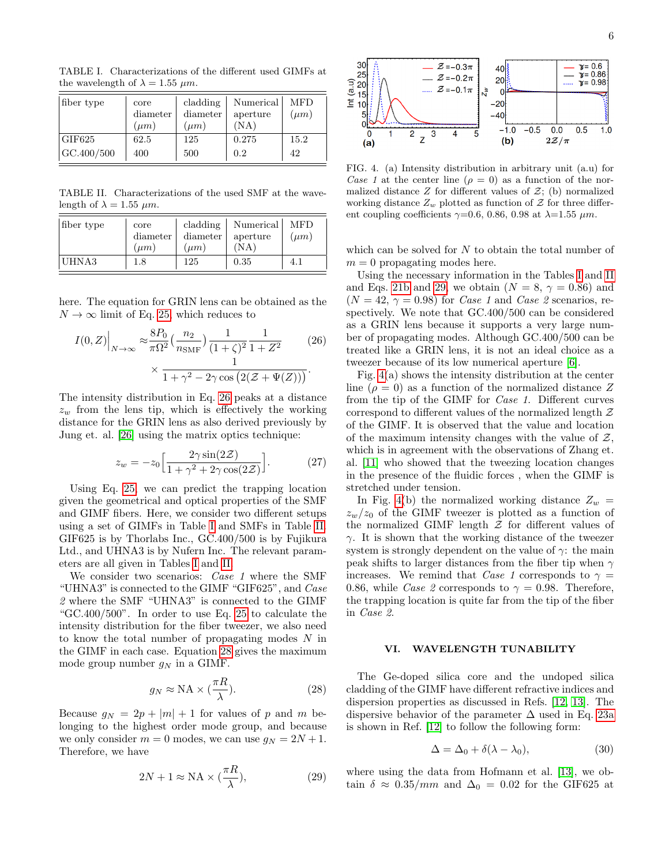<span id="page-5-1"></span>TABLE I. Characterizations of the different used GIMFs at the wavelength of  $\lambda = 1.55$   $\mu$ m.

| fiber type | core<br>diameter<br>$(\mu m)$ | cladding<br>diameter<br>$(\mu m)$ | Numerical<br>aperture<br>(NA) | <b>MFD</b><br>$(\mu m)$ |
|------------|-------------------------------|-----------------------------------|-------------------------------|-------------------------|
| GIF625     | 62.5                          | 125                               | 0.275                         | 15.2                    |
| GC.400/500 | 400                           | 500                               | 0.2                           | 42                      |

<span id="page-5-2"></span>TABLE II. Characterizations of the used SMF at the wavelength of  $\lambda = 1.55$   $\mu$ m.

| fiber type | core<br>diameter<br>$(\mu m)$ | cladding<br>diameter<br>$(\mu m)$ | Numerical<br>aperture<br>(NA) | <b>MFD</b><br>$(\mu m)$ |
|------------|-------------------------------|-----------------------------------|-------------------------------|-------------------------|
| UHNA3      | 1.8                           | 125                               | 0.35                          | 4.1                     |

here. The equation for GRIN lens can be obtained as the  $N \to \infty$  limit of Eq. [25,](#page-4-1) which reduces to

$$
I(0,Z)\Big|_{N\to\infty} \approx \frac{8P_0}{\pi\Omega^2} \left(\frac{n_2}{n_{\text{SMF}}}\right) \frac{1}{(1+\zeta)^2} \frac{1}{1+Z^2}
$$
(26)  

$$
\times \frac{1}{1+\gamma^2 - 2\gamma\cos\left(2(Z+\Psi(Z))\right)}.
$$

The intensity distribution in Eq. [26](#page-5-0) peaks at a distance  $z_w$  from the lens tip, which is effectively the working distance for the GRIN lens as also derived previously by Jung et. al. [\[26\]](#page-8-1) using the matrix optics technique:

<span id="page-5-6"></span>
$$
z_w = -z_0 \left[ \frac{2\gamma \sin(2\mathcal{Z})}{1 + \gamma^2 + 2\gamma \cos(2\mathcal{Z})} \right].
$$
 (27)

Using Eq. [25,](#page-4-1) we can predict the trapping location given the geometrical and optical properties of the SMF and GIMF fibers. Here, we consider two different setups using a set of GIMFs in Table [I](#page-5-1) and SMFs in Table [II.](#page-5-2) GIF625 is by Thorlabs Inc., GC.400/500 is by Fujikura Ltd., and UHNA3 is by Nufern Inc. The relevant parameters are all given in Tables [I](#page-5-1) and [II.](#page-5-2)

We consider two scenarios: *Case 1* where the SMF "UHNA3" is connected to the GIMF "GIF625", and Case 2 where the SMF "UHNA3" is connected to the GIMF "GC.400/500". In order to use Eq. [25](#page-4-1) to calculate the intensity distribution for the fiber tweezer, we also need to know the total number of propagating modes N in the GIMF in each case. Equation [28](#page-5-3) gives the maximum mode group number  $g_N$  in a GIMF.

$$
g_N \approx \text{NA} \times (\frac{\pi R}{\lambda}).\tag{28}
$$

Because  $g_N = 2p + |m| + 1$  for values of p and m belonging to the highest order mode group, and because we only consider  $m = 0$  modes, we can use  $g_N = 2N + 1$ . Therefore, we have

$$
2N + 1 \approx \text{NA} \times (\frac{\pi R}{\lambda}),\tag{29}
$$



<span id="page-5-5"></span>FIG. 4. (a) Intensity distribution in arbitrary unit (a.u) for Case 1 at the center line  $(\rho = 0)$  as a function of the normalized distance  $Z$  for different values of  $\mathcal{Z}$ ; (b) normalized working distance  $Z_w$  plotted as function of  $\mathcal Z$  for three different coupling coefficients  $\gamma=0.6, 0.86, 0.98$  at  $\lambda=1.55 \ \mu m$ .

which can be solved for  $N$  to obtain the total number of  $m = 0$  propagating modes here.

Using the necessary information in the Tables [I](#page-5-1) and [II](#page-5-2) and Eqs. [21b](#page-4-2) and [29,](#page-5-4) we obtain  $(N = 8, \gamma = 0.86)$  and  $(N = 42, \gamma = 0.98)$  for *Case 1* and *Case 2* scenarios, respectively. We note that GC.400/500 can be considered as a GRIN lens because it supports a very large number of propagating modes. Although GC.400/500 can be treated like a GRIN lens, it is not an ideal choice as a tweezer because of its low numerical aperture [\[6\]](#page-7-3).

<span id="page-5-0"></span>Fig. [4\(](#page-5-5)a) shows the intensity distribution at the center line ( $\rho = 0$ ) as a function of the normalized distance Z from the tip of the GIMF for Case 1. Different curves correspond to different values of the normalized length  $\mathcal Z$ of the GIMF. It is observed that the value and location of the maximum intensity changes with the value of  $\mathcal{Z}$ , which is in agreement with the observations of Zhang et. al. [\[11\]](#page-7-8) who showed that the tweezing location changes in the presence of the fluidic forces , when the GIMF is stretched under tension.

In Fig. [4\(](#page-5-5)b) the normalized working distance  $Z_w =$  $z_w/z_0$  of the GIMF tweezer is plotted as a function of the normalized GIMF length  $\mathcal Z$  for different values of  $\gamma$ . It is shown that the working distance of the tweezer system is strongly dependent on the value of  $\gamma$ : the main peak shifts to larger distances from the fiber tip when  $\gamma$ increases. We remind that Case 1 corresponds to  $\gamma =$ 0.86, while *Case 2* corresponds to  $\gamma = 0.98$ . Therefore, the trapping location is quite far from the tip of the fiber in Case 2.

### VI. WAVELENGTH TUNABILITY

<span id="page-5-3"></span>The Ge-doped silica core and the undoped silica cladding of the GIMF have different refractive indices and dispersion properties as discussed in Refs. [\[12,](#page-7-9) [13\]](#page-7-10). The dispersive behavior of the parameter  $\Delta$  used in Eq. [23a](#page-4-3) is shown in Ref. [\[12\]](#page-7-9) to follow the following form:

$$
\Delta = \Delta_0 + \delta(\lambda - \lambda_0),\tag{30}
$$

<span id="page-5-4"></span>where using the data from Hofmann et al. [\[13\]](#page-7-10), we obtain  $\delta \approx 0.35/mm$  and  $\Delta_0 = 0.02$  for the GIF625 at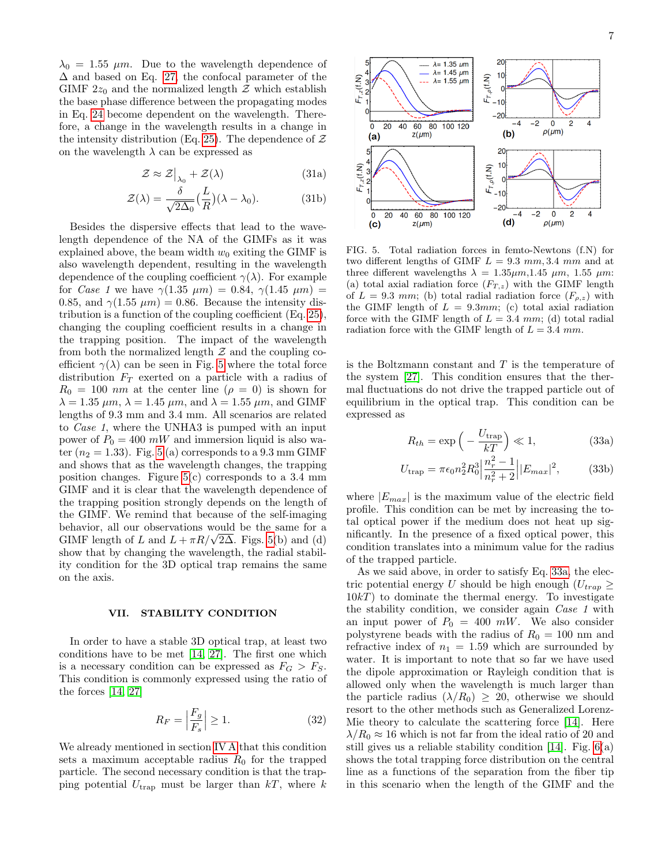$\lambda_0 = 1.55$   $\mu$ m. Due to the wavelength dependence of  $\Delta$  and based on Eq. [27,](#page-5-6) the confocal parameter of the GIMF  $2z_0$  and the normalized length  $\mathcal Z$  which establish the base phase difference between the propagating modes in Eq. [24](#page-4-4) become dependent on the wavelength. Therefore, a change in the wavelength results in a change in the intensity distribution (Eq. [25\)](#page-4-1). The dependence of  $Z$ on the wavelength  $\lambda$  can be expressed as

$$
\mathcal{Z} \approx \mathcal{Z}\big|_{\lambda_0} + \mathcal{Z}(\lambda) \tag{31a}
$$

$$
\mathcal{Z}(\lambda) = \frac{\delta}{\sqrt{2\Delta_0}} \left(\frac{L}{R}\right)(\lambda - \lambda_0). \tag{31b}
$$

Besides the dispersive effects that lead to the wavelength dependence of the NA of the GIMFs as it was explained above, the beam width  $w_0$  exiting the GIMF is also wavelength dependent, resulting in the wavelength dependence of the coupling coefficient  $\gamma(\lambda)$ . For example for *Case 1* we have  $\gamma(1.35 \ \mu m) = 0.84, \ \gamma(1.45 \ \mu m) =$ 0.85, and  $\gamma(1.55 \ \mu m) = 0.86$ . Because the intensity distribution is a function of the coupling coefficient (Eq. [25\)](#page-4-1), changing the coupling coefficient results in a change in the trapping position. The impact of the wavelength from both the normalized length  $\mathcal Z$  and the coupling coefficient  $\gamma(\lambda)$  can be seen in Fig. [5](#page-6-1) where the total force distribution  $F_T$  exerted on a particle with a radius of  $R_0 = 100$  nm at the center line  $(\rho = 0)$  is shown for  $\lambda = 1.35 \ \mu m$ ,  $\lambda = 1.45 \ \mu m$ , and  $\lambda = 1.55 \ \mu m$ , and GIMF lengths of 9.3 mm and 3.4 mm. All scenarios are related to Case 1, where the UNHA3 is pumped with an input power of  $P_0 = 400$  mW and immersion liquid is also water  $(n_2 = 1.33)$ . Fig. [5](#page-6-1) (a) corresponds to a 9.3 mm GIMF and shows that as the wavelength changes, the trapping position changes. Figure  $5(c)$  corresponds to a 3.4 mm GIMF and it is clear that the wavelength dependence of the trapping position strongly depends on the length of the GIMF. We remind that because of the self-imaging behavior, all our observations would be the same for a behavior, all our observations would be the same for a GIMF length of L and  $L + \pi R/\sqrt{2\Delta}$ . Figs. [5\(](#page-6-1)b) and (d) show that by changing the wavelength, the radial stability condition for the 3D optical trap remains the same on the axis.

### <span id="page-6-0"></span>VII. STABILITY CONDITION

In order to have a stable 3D optical trap, at least two conditions have to be met [\[14,](#page-7-11) [27\]](#page-8-2). The first one which is a necessary condition can be expressed as  $F_G > F_S$ . This condition is commonly expressed using the ratio of the forces [\[14,](#page-7-11) [27\]](#page-8-2)

$$
R_F = \left| \frac{F_g}{F_s} \right| \ge 1. \tag{32}
$$

We already mentioned in section [IV A](#page-2-7) that this condition sets a maximum acceptable radius  $R_0$  for the trapped particle. The second necessary condition is that the trapping potential  $U_{trap}$  must be larger than  $kT$ , where k



<span id="page-6-1"></span>FIG. 5. Total radiation forces in femto-Newtons (f.N) for two different lengths of GIMF  $L = 9.3$  mm, 3.4 mm and at three different wavelengths  $\lambda = 1.35 \mu m$ , 1.45  $\mu$ m, 1.55  $\mu$ m. (a) total axial radiation force  $(F_{T,z})$  with the GIMF length of  $L = 9.3$  mm; (b) total radial radiation force  $(F_{\rho,z})$  with the GIMF length of  $L = 9.3mm$ ; (c) total axial radiation force with the GIMF length of  $L = 3.4$  mm; (d) total radial radiation force with the GIMF length of  $L = 3.4$  mm.

is the Boltzmann constant and  $T$  is the temperature of the system [\[27\]](#page-8-2). This condition ensures that the thermal fluctuations do not drive the trapped particle out of equilibrium in the optical trap. This condition can be expressed as

<span id="page-6-2"></span>
$$
R_{th} = \exp\left(-\frac{U_{\text{trap}}}{kT}\right) \ll 1,\tag{33a}
$$

$$
U_{\rm trap} = \pi \epsilon_0 n_2^2 R_0^3 \left| \frac{n_r^2 - 1}{n_r^2 + 2} \right| |E_{max}|^2, \tag{33b}
$$

where  $|E_{max}|$  is the maximum value of the electric field profile. This condition can be met by increasing the total optical power if the medium does not heat up significantly. In the presence of a fixed optical power, this condition translates into a minimum value for the radius of the trapped particle.

As we said above, in order to satisfy Eq. [33a,](#page-6-2) the electric potential energy U should be high enough  $(U_{tran} \geq$  $10kT$ ) to dominate the thermal energy. To investigate the stability condition, we consider again Case 1 with an input power of  $P_0 = 400$  mW. We also consider polystyrene beads with the radius of  $R_0 = 100$  nm and refractive index of  $n_1 = 1.59$  which are surrounded by water. It is important to note that so far we have used the dipole approximation or Rayleigh condition that is allowed only when the wavelength is much larger than the particle radius  $(\lambda/R_0) \geq 20$ , otherwise we should resort to the other methods such as Generalized Lorenz-Mie theory to calculate the scattering force [\[14\]](#page-7-11). Here  $\lambda/R_0 \approx 16$  which is not far from the ideal ratio of 20 and still gives us a reliable stability condition [\[14\]](#page-7-11). Fig.  $6(a)$ shows the total trapping force distribution on the central line as a functions of the separation from the fiber tip in this scenario when the length of the GIMF and the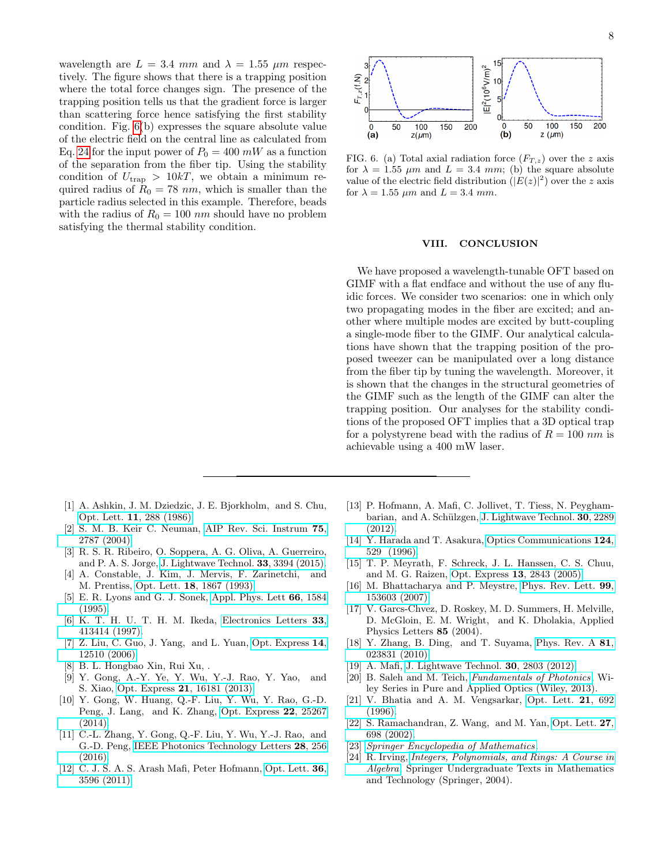wavelength are  $L = 3.4$  mm and  $\lambda = 1.55$   $\mu$ m respectively. The figure shows that there is a trapping position where the total force changes sign. The presence of the trapping position tells us that the gradient force is larger than scattering force hence satisfying the first stability condition. Fig. [6\(](#page-7-20)b) expresses the square absolute value of the electric field on the central line as calculated from Eq. [24](#page-4-4) for the input power of  $P_0 = 400$  mW as a function of the separation from the fiber tip. Using the stability condition of  $U_{\text{trap}} > 10kT$ , we obtain a minimum required radius of  $R_0 = 78$  nm, which is smaller than the particle radius selected in this example. Therefore, beads with the radius of  $R_0 = 100$  nm should have no problem satisfying the thermal stability condition.

- <span id="page-7-0"></span>[1] A. Ashkin, J. M. Dziedzic, J. E. Bjorkholm, and S. Chu, Opt. Lett. 11[, 288 \(1986\).](http://dx.doi.org/10.1364/OL.11.000288)
- [2] S. M. B. Keir C. Neuman, [AIP Rev. Sci. Instrum](http://dx.doi.org/ http://dx.doi.org/10.1063/1.1785844) 75, [2787 \(2004\).](http://dx.doi.org/ http://dx.doi.org/10.1063/1.1785844)
- [3] R. S. R. Ribeiro, O. Soppera, A. G. Oliva, A. Guerreiro, and P. A. S. Jorge, [J. Lightwave Technol.](http://jlt.osa.org/abstract.cfm?URI=jlt-33-16-3394) 33, 3394 (2015).
- <span id="page-7-1"></span>[4] A. Constable, J. Kim, J. Mervis, F. Zarinetchi, and M. Prentiss, Opt. Lett. 18[, 1867 \(1993\).](http://dx.doi.org/ 10.1364/OL.18.001867)
- <span id="page-7-2"></span>[5] E. R. Lyons and G. J. Sonek, [Appl. Phys. Lett](http://dx.doi.org/http://dx.doi.org/10.1063/1.113859) 66, 1584 [\(1995\).](http://dx.doi.org/http://dx.doi.org/10.1063/1.113859)
- <span id="page-7-3"></span>[6] K. T. H. U. T. H. M. Ikeda, [Electronics Letters](http://dx.doi.org/10.1049/el:19970247) 33, [413414 \(1997\).](http://dx.doi.org/10.1049/el:19970247)
- <span id="page-7-4"></span>[7] Z. Liu, C. Guo, J. Yang, and L. Yuan, [Opt. Express](http://dx.doi.org/ 10.1364/OE.14.012510) 14, [12510 \(2006\).](http://dx.doi.org/ 10.1364/OE.14.012510)
- <span id="page-7-5"></span>[8] B. L. Hongbao Xin, Rui Xu, .
- <span id="page-7-6"></span>[9] Y. Gong, A.-Y. Ye, Y. Wu, Y.-J. Rao, Y. Yao, and S. Xiao, Opt. Express 21[, 16181 \(2013\).](http://dx.doi.org/10.1364/OE.21.016181)
- <span id="page-7-7"></span>[10] Y. Gong, W. Huang, Q.-F. Liu, Y. Wu, Y. Rao, G.-D. Peng, J. Lang, and K. Zhang, [Opt. Express](http://dx.doi.org/10.1364/OE.22.025267) 22, 25267 [\(2014\).](http://dx.doi.org/10.1364/OE.22.025267)
- <span id="page-7-8"></span>[11] C.-L. Zhang, Y. Gong, Q.-F. Liu, Y. Wu, Y.-J. Rao, and G.-D. Peng, [IEEE Photonics Technology Letters](http://dx.doi.org/ 10.1109/LPT.2015.2494583) 28, 256 [\(2016\).](http://dx.doi.org/ 10.1109/LPT.2015.2494583)
- <span id="page-7-9"></span>[12] C. J. S. A. S. Arash Mafi, Peter Hofmann, [Opt. Lett.](http://dx.doi.org/ 10.1364/OL.36.003596) 36, [3596 \(2011\).](http://dx.doi.org/ 10.1364/OL.36.003596)
- <span id="page-7-10"></span>[13] P. Hofmann, A. Mafi, C. Jollivet, T. Tiess, N. Peygham-barian, and A. Schülzgen, [J. Lightwave Technol.](http://jlt.osa.org/abstract.cfm?URI=jlt-30-14-2289) 30, 2289 [\(2012\).](http://jlt.osa.org/abstract.cfm?URI=jlt-30-14-2289)
- <span id="page-7-11"></span>[14] Y. Harada and T. Asakura, [Optics Communications](http://dx.doi.org/http://dx.doi.org/10.1016/0030-4018(95)00753-9) 124, [529 \(1996\).](http://dx.doi.org/http://dx.doi.org/10.1016/0030-4018(95)00753-9)
- <span id="page-7-12"></span>[15] T. P. Meyrath, F. Schreck, J. L. Hanssen, C. S. Chuu, and M. G. Raizen, [Opt. Express](http://dx.doi.org/ 10.1364/OPEX.13.002843) 13, 2843 (2005).
- [16] M. Bhattacharya and P. Meystre, [Phys. Rev. Lett.](http://dx.doi.org/10.1103/PhysRevLett.99.153603) 99, [153603 \(2007\).](http://dx.doi.org/10.1103/PhysRevLett.99.153603)
- [17] V. Garcs-Chvez, D. Roskey, M. D. Summers, H. Melville, D. McGloin, E. M. Wright, and K. Dholakia, Applied Physics Letters 85 (2004).
- <span id="page-7-13"></span>[18] Y. Zhang, B. Ding, and T. Suyama, [Phys. Rev. A](http://dx.doi.org/10.1103/PhysRevA.81.023831) 81, [023831 \(2010\).](http://dx.doi.org/10.1103/PhysRevA.81.023831)
- <span id="page-7-14"></span>[19] A. Mafi, [J. Lightwave Technol.](http://jlt.osa.org/abstract.cfm?URI=jlt-30-17-2803) 30, 2803 (2012).
- <span id="page-7-15"></span>[20] B. Saleh and M. Teich, [Fundamentals of Photonics](https://books.google.com/books?id=Qfeosgu08u8C), Wiley Series in Pure and Applied Optics (Wiley, 2013).
- <span id="page-7-16"></span>[21] V. Bhatia and A. M. Vengsarkar, [Opt. Lett.](http://dx.doi.org/10.1364/OL.21.000692) 21, 692 [\(1996\).](http://dx.doi.org/10.1364/OL.21.000692)
- <span id="page-7-17"></span>[22] S. Ramachandran, Z. Wang, and M. Yan, [Opt. Lett.](http://dx.doi.org/10.1364/OL.27.000698) 27, [698 \(2002\).](http://dx.doi.org/10.1364/OL.27.000698)
- <span id="page-7-18"></span>[23] [Springer Encyclopedia of Mathematics](http://eom.springer.de/default.htm).
- <span id="page-7-19"></span>[24] R. Irving, [Integers, Polynomials, and Rings: A Course in](https://books.google.com/books?id=JxY_4omrMYwC) [Algebra](https://books.google.com/books?id=JxY_4omrMYwC), Springer Undergraduate Texts in Mathematics and Technology (Springer, 2004).



<span id="page-7-20"></span>FIG. 6. (a) Total axial radiation force  $(F_{T,z})$  over the z axis for  $\lambda = 1.55$   $\mu$ m and  $L = 3.4$  mm; (b) the square absolute value of the electric field distribution  $(|E(z)|^2)$  over the z axis for  $\lambda = 1.55 \ \mu m$  and  $L = 3.4 \ mm$ .

#### VIII. CONCLUSION

We have proposed a wavelength-tunable OFT based on GIMF with a flat endface and without the use of any fluidic forces. We consider two scenarios: one in which only two propagating modes in the fiber are excited; and another where multiple modes are excited by butt-coupling a single-mode fiber to the GIMF. Our analytical calculations have shown that the trapping position of the proposed tweezer can be manipulated over a long distance from the fiber tip by tuning the wavelength. Moreover, it is shown that the changes in the structural geometries of the GIMF such as the length of the GIMF can alter the trapping position. Our analyses for the stability conditions of the proposed OFT implies that a 3D optical trap for a polystyrene bead with the radius of  $R = 100$  nm is achievable using a 400 mW laser.